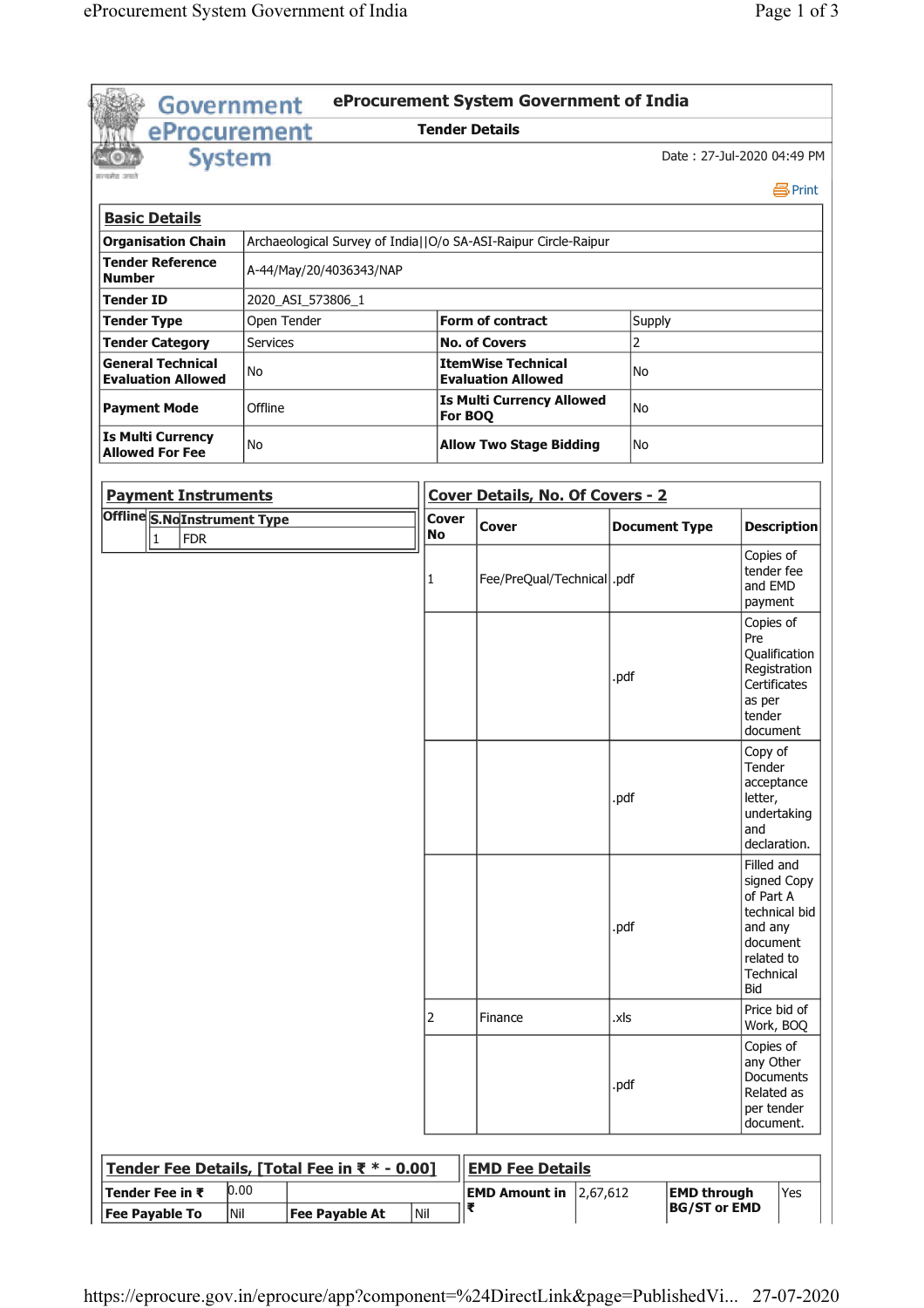| Government                                            |                                                                 |                                                                                 | eProcurement System Government of India |                      |                                                                                                                  |
|-------------------------------------------------------|-----------------------------------------------------------------|---------------------------------------------------------------------------------|-----------------------------------------|----------------------|------------------------------------------------------------------------------------------------------------------|
| eProcurement                                          |                                                                 | <b>Tender Details</b>                                                           |                                         |                      |                                                                                                                  |
| <b>System</b>                                         |                                                                 |                                                                                 |                                         |                      | Date: 27-Jul-2020 04:49 PM                                                                                       |
|                                                       |                                                                 |                                                                                 |                                         |                      | 昌Print                                                                                                           |
| <b>Basic Details</b>                                  |                                                                 |                                                                                 |                                         |                      |                                                                                                                  |
| <b>Organisation Chain</b>                             | Archaeological Survey of India  O/o SA-ASI-Raipur Circle-Raipur |                                                                                 |                                         |                      |                                                                                                                  |
| <b>Tender Reference</b><br><b>Number</b>              | A-44/May/20/4036343/NAP                                         |                                                                                 |                                         |                      |                                                                                                                  |
| Tender ID                                             | 2020_ASI_573806_1                                               |                                                                                 |                                         |                      |                                                                                                                  |
| <b>Tender Type</b>                                    | Open Tender                                                     |                                                                                 | <b>Form of contract</b>                 | <b>Supply</b>        |                                                                                                                  |
| <b>Tender Category</b>                                | Services                                                        |                                                                                 | <b>No. of Covers</b>                    | 2                    |                                                                                                                  |
| <b>General Technical</b><br><b>Evaluation Allowed</b> | No                                                              |                                                                                 | <b>ItemWise Technical</b>               | No                   |                                                                                                                  |
| <b>Payment Mode</b>                                   | Offline                                                         | <b>Evaluation Allowed</b><br><b>Is Multi Currency Allowed</b><br>lNo<br>For BOQ |                                         |                      |                                                                                                                  |
| <b>Is Multi Currency</b><br><b>Allowed For Fee</b>    | No                                                              | <b>Allow Two Stage Bidding</b><br>No                                            |                                         |                      |                                                                                                                  |
| <b>Payment Instruments</b>                            |                                                                 |                                                                                 | <b>Cover Details, No. Of Covers - 2</b> |                      |                                                                                                                  |
| Offline S.NoInstrument Type                           |                                                                 | Cover<br>No                                                                     | <b>Cover</b>                            | <b>Document Type</b> | <b>Description</b>                                                                                               |
| $\vert$ 1<br><b>FDR</b>                               |                                                                 | 1                                                                               | Fee/PreQual/Technical  .pdf             |                      | Copies of<br>tender fee<br>and EMD<br>payment                                                                    |
|                                                       |                                                                 |                                                                                 |                                         | .pdf                 | Copies of<br>Pre<br>Qualification<br>Registration<br>Certificates<br>as per<br>tender<br>document                |
|                                                       |                                                                 |                                                                                 |                                         | .pdf                 | Copy of<br>Tender<br>acceptance<br>letter,<br>undertaking<br>and<br>declaration.                                 |
|                                                       |                                                                 |                                                                                 |                                         | .pdf                 | Filled and<br>signed Copy<br>of Part A<br>technical bid<br>and any<br>document<br>related to<br>Technical<br>Bid |
|                                                       |                                                                 | 2                                                                               | Finance                                 | .xls                 | Price bid of<br>Work, BOQ                                                                                        |
|                                                       |                                                                 |                                                                                 |                                         | .pdf                 | Copies of<br>any Other<br>Documents<br>Related as<br>per tender<br>document.                                     |
|                                                       |                                                                 |                                                                                 |                                         |                      |                                                                                                                  |
|                                                       | Tender Fee Details, [Total Fee in ₹ * - 0.00]                   |                                                                                 | <b>EMD Fee Details</b>                  |                      |                                                                                                                  |
| Tender Fee in ₹                                       | 0.00                                                            |                                                                                 | <b>EMD Amount in</b><br>2,67,612        |                      | <b>EMD through</b><br>Yes                                                                                        |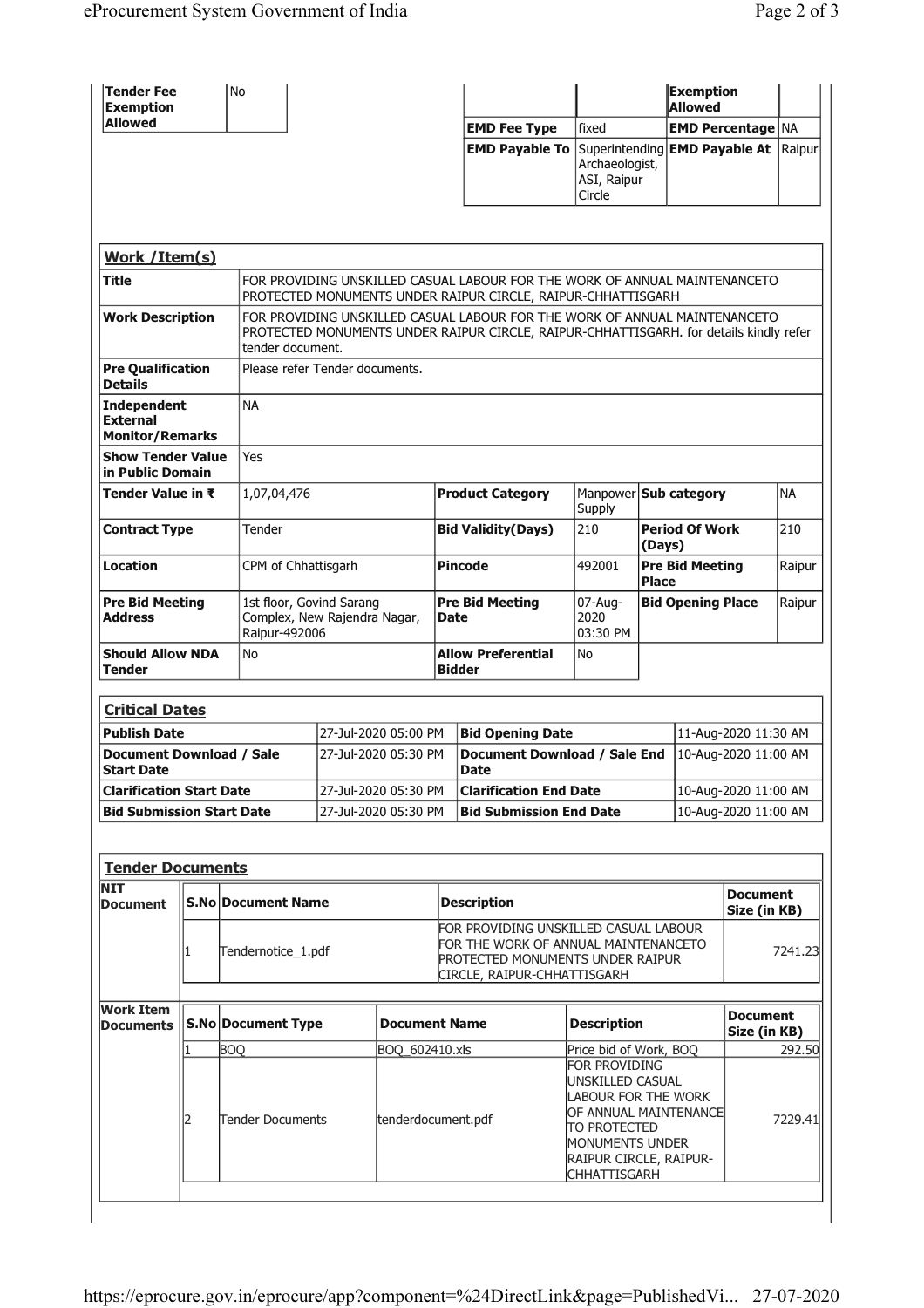| <b>Tender Fee</b><br><b>Exemption</b>                                                                          |        | <b>No</b>                      |                                                                                                                                                                                          |                                            |                                                                                                                                                                                                               |                                                                                        |                                        | <b>Exemption</b><br><b>Allowed</b> |                      |           |
|----------------------------------------------------------------------------------------------------------------|--------|--------------------------------|------------------------------------------------------------------------------------------------------------------------------------------------------------------------------------------|--------------------------------------------|---------------------------------------------------------------------------------------------------------------------------------------------------------------------------------------------------------------|----------------------------------------------------------------------------------------|----------------------------------------|------------------------------------|----------------------|-----------|
| <b>Allowed</b>                                                                                                 |        |                                |                                                                                                                                                                                          |                                            | <b>EMD Fee Type</b>                                                                                                                                                                                           | fixed                                                                                  |                                        | <b>EMD Percentage NA</b>           |                      |           |
|                                                                                                                |        |                                |                                                                                                                                                                                          |                                            | <b>EMD Payable To</b>                                                                                                                                                                                         | Superintending <b>EMD Payable At</b> Raipur<br>Archaeologist,<br>ASI, Raipur<br>Circle |                                        |                                    |                      |           |
| Work /Item(s)                                                                                                  |        |                                |                                                                                                                                                                                          |                                            |                                                                                                                                                                                                               |                                                                                        |                                        |                                    |                      |           |
| Title                                                                                                          |        |                                | FOR PROVIDING UNSKILLED CASUAL LABOUR FOR THE WORK OF ANNUAL MAINTENANCETO<br>PROTECTED MONUMENTS UNDER RAIPUR CIRCLE, RAIPUR-CHHATTISGARH                                               |                                            |                                                                                                                                                                                                               |                                                                                        |                                        |                                    |                      |           |
| <b>Work Description</b>                                                                                        |        |                                | FOR PROVIDING UNSKILLED CASUAL LABOUR FOR THE WORK OF ANNUAL MAINTENANCETO<br>PROTECTED MONUMENTS UNDER RAIPUR CIRCLE, RAIPUR-CHHATTISGARH. for details kindly refer<br>tender document. |                                            |                                                                                                                                                                                                               |                                                                                        |                                        |                                    |                      |           |
| <b>Pre Qualification</b><br><b>Details</b>                                                                     |        |                                | Please refer Tender documents.                                                                                                                                                           |                                            |                                                                                                                                                                                                               |                                                                                        |                                        |                                    |                      |           |
| <b>Independent</b><br><b>External</b><br><b>Monitor/Remarks</b>                                                |        | <b>NA</b>                      |                                                                                                                                                                                          |                                            |                                                                                                                                                                                                               |                                                                                        |                                        |                                    |                      |           |
| <b>Show Tender Value</b><br>in Public Domain                                                                   |        | Yes                            |                                                                                                                                                                                          |                                            |                                                                                                                                                                                                               |                                                                                        |                                        |                                    |                      |           |
| Tender Value in ₹                                                                                              |        | 1,07,04,476                    |                                                                                                                                                                                          |                                            | <b>Product Category</b>                                                                                                                                                                                       | Supply                                                                                 | Manpower Sub category                  |                                    |                      | <b>NA</b> |
| <b>Contract Type</b>                                                                                           | Tender |                                |                                                                                                                                                                                          |                                            | <b>Bid Validity(Days)</b>                                                                                                                                                                                     | 210                                                                                    |                                        | <b>Period Of Work</b><br>(Days)    |                      | 210       |
| <b>Location</b><br>CPM of Chhattisgarh                                                                         |        |                                |                                                                                                                                                                                          | <b>Pincode</b>                             | 492001                                                                                                                                                                                                        |                                                                                        | <b>Pre Bid Meeting</b><br><b>Place</b> |                                    | Raipur               |           |
| <b>Pre Bid Meeting</b><br>1st floor, Govind Sarang<br>Complex, New Rajendra Nagar,<br>Address<br>Raipur-492006 |        |                                |                                                                                                                                                                                          | <b>Pre Bid Meeting</b><br><b>Date</b>      | $07$ -Aug-<br>2020<br>03:30 PM                                                                                                                                                                                |                                                                                        | <b>Bid Opening Place</b>               |                                    | Raipur               |           |
| <b>Should Allow NDA</b><br>No<br>Tender                                                                        |        |                                |                                                                                                                                                                                          | <b>Allow Preferential</b><br><b>Bidder</b> | No                                                                                                                                                                                                            |                                                                                        |                                        |                                    |                      |           |
| <b>Critical Dates</b>                                                                                          |        |                                |                                                                                                                                                                                          |                                            |                                                                                                                                                                                                               |                                                                                        |                                        |                                    |                      |           |
| <b>Publish Date</b>                                                                                            |        |                                |                                                                                                                                                                                          | 27-Jul-2020 05:00 PM                       | <b>Bid Opening Date</b>                                                                                                                                                                                       |                                                                                        |                                        |                                    | 11-Aug-2020 11:30 AM |           |
| <b>Document Download / Sale</b><br><b>Start Date</b>                                                           |        |                                |                                                                                                                                                                                          | 27-Jul-2020 05:30 PM                       | Document Download / Sale End<br><b>Date</b>                                                                                                                                                                   |                                                                                        |                                        | 10-Aug-2020 11:00 AM               |                      |           |
| <b>Clarification Start Date</b>                                                                                |        |                                | 27-Jul-2020 05:30 PM                                                                                                                                                                     |                                            | <b>Clarification End Date</b>                                                                                                                                                                                 |                                                                                        |                                        | 10-Aug-2020 11:00 AM               |                      |           |
| <b>Bid Submission Start Date</b>                                                                               |        |                                |                                                                                                                                                                                          | 27-Jul-2020 05:30 PM                       | <b>Bid Submission End Date</b>                                                                                                                                                                                |                                                                                        |                                        |                                    | 10-Aug-2020 11:00 AM |           |
| <b>Tender Documents</b>                                                                                        |        |                                |                                                                                                                                                                                          |                                            |                                                                                                                                                                                                               |                                                                                        |                                        |                                    |                      |           |
| NIT<br><b>Document</b>                                                                                         |        | <b>S.No Document Name</b>      |                                                                                                                                                                                          |                                            | <b>Description</b>                                                                                                                                                                                            | <b>Document</b><br>Size (in KB)                                                        |                                        |                                    |                      |           |
|                                                                                                                |        | Tendernotice_1.pdf             |                                                                                                                                                                                          |                                            | FOR PROVIDING UNSKILLED CASUAL LABOUR<br>FOR THE WORK OF ANNUAL MAINTENANCETO<br><b>PROTECTED MONUMENTS UNDER RAIPUR</b><br>CIRCLE, RAIPUR-CHHATTISGARH                                                       |                                                                                        |                                        |                                    | 7241.23              |           |
| <b>Work Item</b><br><b>Documents</b>                                                                           |        | <b>S.No Document Type</b>      |                                                                                                                                                                                          | <b>Document Name</b>                       | <b>Description</b>                                                                                                                                                                                            |                                                                                        |                                        | <b>Document</b><br>Size (in KB)    |                      |           |
|                                                                                                                | 2      | <b>BOQ</b><br>Tender Documents |                                                                                                                                                                                          | BOQ_602410.xls<br>tenderdocument.pdf       | Price bid of Work, BOQ<br>FOR PROVIDING<br>UNSKILLED CASUAL<br><b>LABOUR FOR THE WORK</b><br>OF ANNUAL MAINTENANCE<br>TO PROTECTED<br><b>MONUMENTS UNDER</b><br>RAIPUR CIRCLE, RAIPUR-<br><b>CHHATTISGARH</b> |                                                                                        |                                        |                                    | 292.50<br>7229.41    |           |